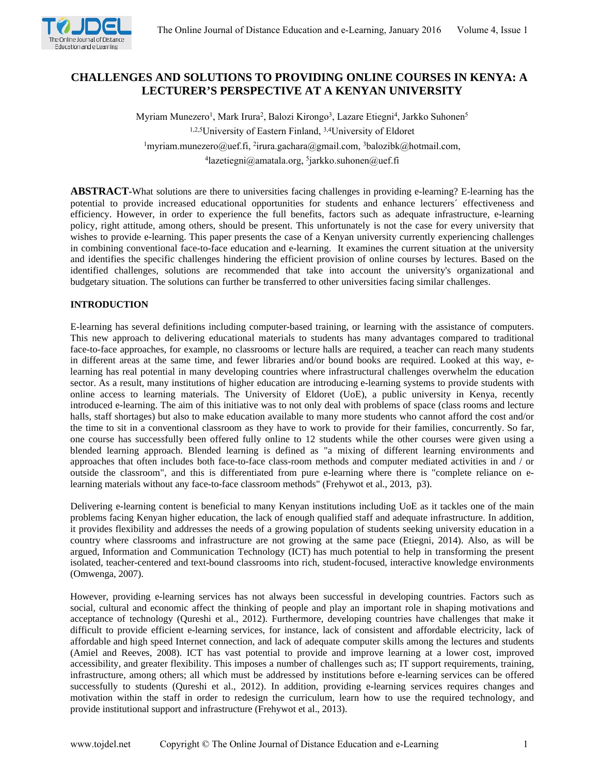

# **CHALLENGES AND SOLUTIONS TO PROVIDING ONLINE COURSES IN KENYA: A LECTURER'S PERSPECTIVE AT A KENYAN UNIVERSITY**

Myriam Munezero<sup>1</sup>, Mark Irura<sup>2</sup>, Balozi Kirongo<sup>3</sup>, Lazare Etiegni<sup>4</sup>, Jarkko Suhonen<sup>5</sup> 1,2,5University of Eastern Finland, 3,4University of Eldoret <sup>1</sup>myriam.munezero@uef.fi, <sup>2</sup>irura.gachara@gmail.com, <sup>3</sup>balozibk@hotmail.com, 4 lazetiegni@amatala.org, <sup>5</sup> jarkko.suhonen@uef.fi

**ABSTRACT-**What solutions are there to universities facing challenges in providing e-learning? E-learning has the potential to provide increased educational opportunities for students and enhance lecturers´ effectiveness and efficiency. However, in order to experience the full benefits, factors such as adequate infrastructure, e-learning policy, right attitude, among others, should be present. This unfortunately is not the case for every university that wishes to provide e-learning. This paper presents the case of a Kenyan university currently experiencing challenges in combining conventional face-to-face education and e-learning. It examines the current situation at the university and identifies the specific challenges hindering the efficient provision of online courses by lectures. Based on the identified challenges, solutions are recommended that take into account the university's organizational and budgetary situation. The solutions can further be transferred to other universities facing similar challenges.

# **INTRODUCTION**

E-learning has several definitions including computer-based training, or learning with the assistance of computers. This new approach to delivering educational materials to students has many advantages compared to traditional face-to-face approaches, for example, no classrooms or lecture halls are required, a teacher can reach many students in different areas at the same time, and fewer libraries and/or bound books are required. Looked at this way, elearning has real potential in many developing countries where infrastructural challenges overwhelm the education sector. As a result, many institutions of higher education are introducing e-learning systems to provide students with online access to learning materials. The University of Eldoret (UoE), a public university in Kenya, recently introduced e-learning. The aim of this initiative was to not only deal with problems of space (class rooms and lecture halls, staff shortages) but also to make education available to many more students who cannot afford the cost and/or the time to sit in a conventional classroom as they have to work to provide for their families, concurrently. So far, one course has successfully been offered fully online to 12 students while the other courses were given using a blended learning approach. Blended learning is defined as "a mixing of different learning environments and approaches that often includes both face-to-face class-room methods and computer mediated activities in and / or outside the classroom", and this is differentiated from pure e-learning where there is "complete reliance on elearning materials without any face-to-face classroom methods" (Frehywot et al., 2013, p3).

Delivering e-learning content is beneficial to many Kenyan institutions including UoE as it tackles one of the main problems facing Kenyan higher education, the lack of enough qualified staff and adequate infrastructure. In addition, it provides flexibility and addresses the needs of a growing population of students seeking university education in a country where classrooms and infrastructure are not growing at the same pace (Etiegni, 2014). Also, as will be argued, Information and Communication Technology (ICT) has much potential to help in transforming the present isolated, teacher-centered and text-bound classrooms into rich, student-focused, interactive knowledge environments (Omwenga, 2007).

However, providing e-learning services has not always been successful in developing countries. Factors such as social, cultural and economic affect the thinking of people and play an important role in shaping motivations and acceptance of technology (Qureshi et al., 2012). Furthermore, developing countries have challenges that make it difficult to provide efficient e-learning services, for instance, lack of consistent and affordable electricity, lack of affordable and high speed Internet connection, and lack of adequate computer skills among the lectures and students (Amiel and Reeves, 2008). ICT has vast potential to provide and improve learning at a lower cost, improved accessibility, and greater flexibility. This imposes a number of challenges such as; IT support requirements, training, infrastructure, among others; all which must be addressed by institutions before e-learning services can be offered successfully to students (Qureshi et al., 2012). In addition, providing e-learning services requires changes and motivation within the staff in order to redesign the curriculum, learn how to use the required technology, and provide institutional support and infrastructure (Frehywot et al., 2013).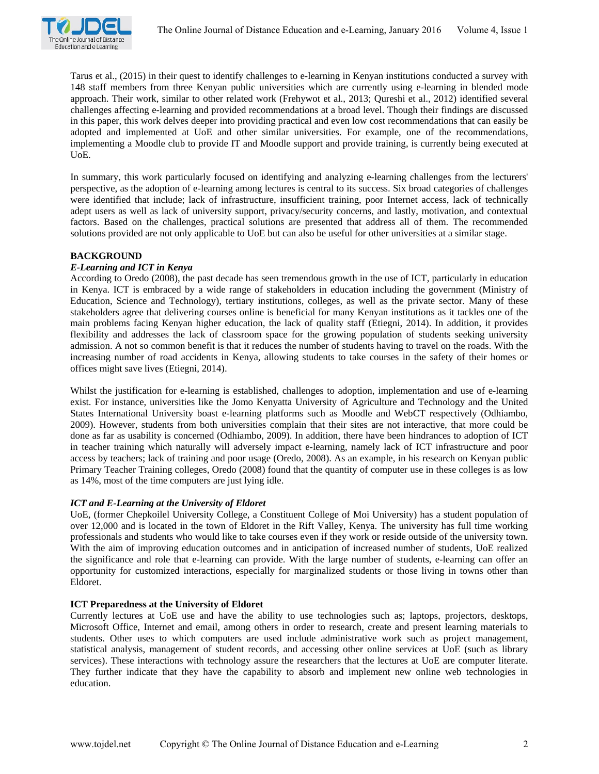

Tarus et al., (2015) in their quest to identify challenges to e-learning in Kenyan institutions conducted a survey with 148 staff members from three Kenyan public universities which are currently using e-learning in blended mode approach. Their work, similar to other related work (Frehywot et al., 2013; Qureshi et al., 2012) identified several challenges affecting e-learning and provided recommendations at a broad level. Though their findings are discussed in this paper, this work delves deeper into providing practical and even low cost recommendations that can easily be adopted and implemented at UoE and other similar universities. For example, one of the recommendations, implementing a Moodle club to provide IT and Moodle support and provide training, is currently being executed at UoE.

In summary, this work particularly focused on identifying and analyzing e-learning challenges from the lecturers' perspective, as the adoption of e-learning among lectures is central to its success. Six broad categories of challenges were identified that include; lack of infrastructure, insufficient training, poor Internet access, lack of technically adept users as well as lack of university support, privacy/security concerns, and lastly, motivation, and contextual factors. Based on the challenges, practical solutions are presented that address all of them. The recommended solutions provided are not only applicable to UoE but can also be useful for other universities at a similar stage.

#### **BACKGROUND**

### *E-Learning and ICT in Kenya*

According to Oredo (2008), the past decade has seen tremendous growth in the use of ICT, particularly in education in Kenya. ICT is embraced by a wide range of stakeholders in education including the government (Ministry of Education, Science and Technology), tertiary institutions, colleges, as well as the private sector. Many of these stakeholders agree that delivering courses online is beneficial for many Kenyan institutions as it tackles one of the main problems facing Kenyan higher education, the lack of quality staff (Etiegni, 2014). In addition, it provides flexibility and addresses the lack of classroom space for the growing population of students seeking university admission. A not so common benefit is that it reduces the number of students having to travel on the roads. With the increasing number of road accidents in Kenya, allowing students to take courses in the safety of their homes or offices might save lives (Etiegni, 2014).

Whilst the justification for e-learning is established, challenges to adoption, implementation and use of e-learning exist. For instance, universities like the Jomo Kenyatta University of Agriculture and Technology and the United States International University boast e-learning platforms such as Moodle and WebCT respectively (Odhiambo, 2009). However, students from both universities complain that their sites are not interactive, that more could be done as far as usability is concerned (Odhiambo, 2009). In addition, there have been hindrances to adoption of ICT in teacher training which naturally will adversely impact e-learning, namely lack of ICT infrastructure and poor access by teachers; lack of training and poor usage (Oredo, 2008). As an example, in his research on Kenyan public Primary Teacher Training colleges, Oredo (2008) found that the quantity of computer use in these colleges is as low as 14%, most of the time computers are just lying idle.

#### *ICT and E-Learning at the University of Eldoret*

UoE, (former Chepkoilel University College, a Constituent College of Moi University) has a student population of over 12,000 and is located in the town of Eldoret in the Rift Valley, Kenya. The university has full time working professionals and students who would like to take courses even if they work or reside outside of the university town. With the aim of improving education outcomes and in anticipation of increased number of students, UoE realized the significance and role that e-learning can provide. With the large number of students, e-learning can offer an opportunity for customized interactions, especially for marginalized students or those living in towns other than Eldoret.

# **ICT Preparedness at the University of Eldoret**

Currently lectures at UoE use and have the ability to use technologies such as; laptops, projectors, desktops, Microsoft Office, Internet and email, among others in order to research, create and present learning materials to students. Other uses to which computers are used include administrative work such as project management, statistical analysis, management of student records, and accessing other online services at UoE (such as library services). These interactions with technology assure the researchers that the lectures at UoE are computer literate. They further indicate that they have the capability to absorb and implement new online web technologies in education.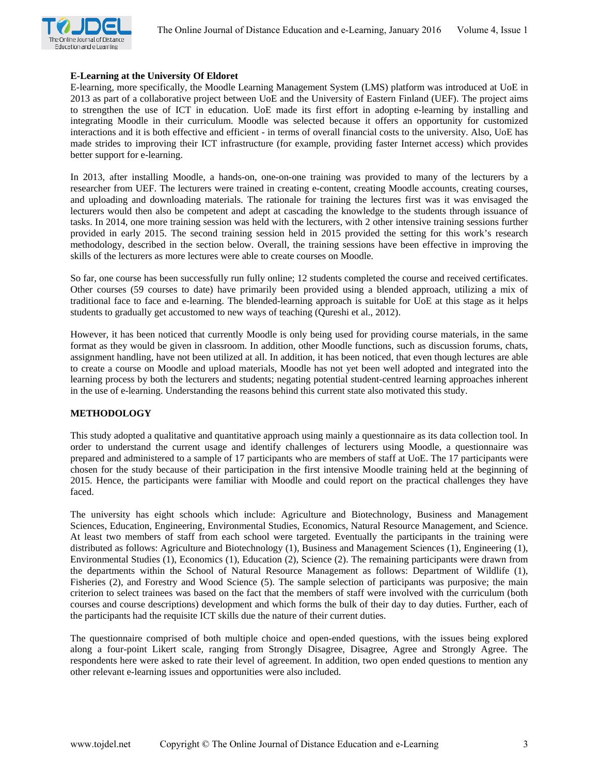

# **E-Learning at the University Of Eldoret**

E-learning, more specifically, the Moodle Learning Management System (LMS) platform was introduced at UoE in 2013 as part of a collaborative project between UoE and the University of Eastern Finland (UEF). The project aims to strengthen the use of ICT in education. UoE made its first effort in adopting e-learning by installing and integrating Moodle in their curriculum. Moodle was selected because it offers an opportunity for customized interactions and it is both effective and efficient - in terms of overall financial costs to the university. Also, UoE has made strides to improving their ICT infrastructure (for example, providing faster Internet access) which provides better support for e-learning.

In 2013, after installing Moodle, a hands-on, one-on-one training was provided to many of the lecturers by a researcher from UEF. The lecturers were trained in creating e-content, creating Moodle accounts, creating courses, and uploading and downloading materials. The rationale for training the lectures first was it was envisaged the lecturers would then also be competent and adept at cascading the knowledge to the students through issuance of tasks. In 2014, one more training session was held with the lecturers, with 2 other intensive training sessions further provided in early 2015. The second training session held in 2015 provided the setting for this work's research methodology, described in the section below. Overall, the training sessions have been effective in improving the skills of the lecturers as more lectures were able to create courses on Moodle.

So far, one course has been successfully run fully online; 12 students completed the course and received certificates. Other courses (59 courses to date) have primarily been provided using a blended approach, utilizing a mix of traditional face to face and e-learning. The blended-learning approach is suitable for UoE at this stage as it helps students to gradually get accustomed to new ways of teaching (Qureshi et al., 2012).

However, it has been noticed that currently Moodle is only being used for providing course materials, in the same format as they would be given in classroom. In addition, other Moodle functions, such as discussion forums, chats, assignment handling, have not been utilized at all. In addition, it has been noticed, that even though lectures are able to create a course on Moodle and upload materials, Moodle has not yet been well adopted and integrated into the learning process by both the lecturers and students; negating potential student-centred learning approaches inherent in the use of e-learning. Understanding the reasons behind this current state also motivated this study.

# **METHODOLOGY**

This study adopted a qualitative and quantitative approach using mainly a questionnaire as its data collection tool. In order to understand the current usage and identify challenges of lecturers using Moodle, a questionnaire was prepared and administered to a sample of 17 participants who are members of staff at UoE. The 17 participants were chosen for the study because of their participation in the first intensive Moodle training held at the beginning of 2015. Hence, the participants were familiar with Moodle and could report on the practical challenges they have faced.

The university has eight schools which include: Agriculture and Biotechnology, Business and Management Sciences, Education, Engineering, Environmental Studies, Economics, Natural Resource Management, and Science. At least two members of staff from each school were targeted. Eventually the participants in the training were distributed as follows: Agriculture and Biotechnology (1), Business and Management Sciences (1), Engineering (1), Environmental Studies (1), Economics (1), Education (2), Science (2). The remaining participants were drawn from the departments within the School of Natural Resource Management as follows: Department of Wildlife (1), Fisheries (2), and Forestry and Wood Science (5). The sample selection of participants was purposive; the main criterion to select trainees was based on the fact that the members of staff were involved with the curriculum (both courses and course descriptions) development and which forms the bulk of their day to day duties. Further, each of the participants had the requisite ICT skills due the nature of their current duties.

The questionnaire comprised of both multiple choice and open-ended questions, with the issues being explored along a four-point Likert scale, ranging from Strongly Disagree, Disagree, Agree and Strongly Agree. The respondents here were asked to rate their level of agreement. In addition, two open ended questions to mention any other relevant e-learning issues and opportunities were also included.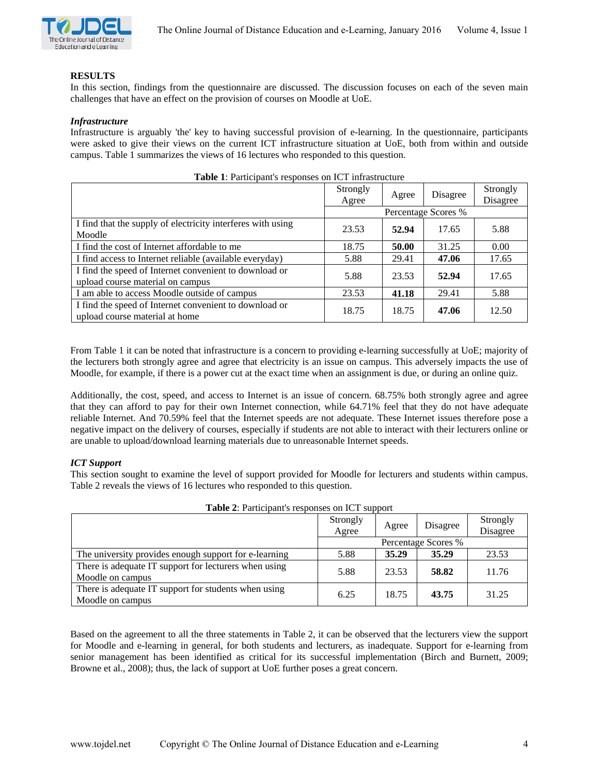

# **RESULTS**

In this section, findings from the questionnaire are discussed. The discussion focuses on each of the seven main challenges that have an effect on the provision of courses on Moodle at UoE.

#### *Infrastructure*

Infrastructure is arguably 'the' key to having successful provision of e-learning. In the questionnaire, participants were asked to give their views on the current ICT infrastructure situation at UoE, both from within and outside campus. Table 1 summarizes the views of 16 lectures who responded to this question.

|                                                                                            | Strongly<br>Agree   | Agree | Disagree | Strongly<br>Disagree |
|--------------------------------------------------------------------------------------------|---------------------|-------|----------|----------------------|
|                                                                                            | Percentage Scores % |       |          |                      |
| I find that the supply of electricity interferes with using<br>Moodle                      | 23.53               | 52.94 | 17.65    | 5.88                 |
| I find the cost of Internet affordable to me                                               | 18.75               | 50.00 | 31.25    | 0.00                 |
| I find access to Internet reliable (available everyday)                                    | 5.88                | 29.41 | 47.06    | 17.65                |
| I find the speed of Internet convenient to download or<br>upload course material on campus | 5.88                | 23.53 | 52.94    | 17.65                |
| I am able to access Moodle outside of campus                                               | 23.53               | 41.18 | 29.41    | 5.88                 |
| I find the speed of Internet convenient to download or<br>upload course material at home   | 18.75               | 18.75 | 47.06    | 12.50                |

**Table 1**: Participant's responses on ICT infrastructure

From Table 1 it can be noted that infrastructure is a concern to providing e-learning successfully at UoE; majority of the lecturers both strongly agree and agree that electricity is an issue on campus. This adversely impacts the use of Moodle, for example, if there is a power cut at the exact time when an assignment is due, or during an online quiz.

Additionally, the cost, speed, and access to Internet is an issue of concern. 68.75% both strongly agree and agree that they can afford to pay for their own Internet connection, while 64.71% feel that they do not have adequate reliable Internet. And 70.59% feel that the Internet speeds are not adequate. These Internet issues therefore pose a negative impact on the delivery of courses, especially if students are not able to interact with their lecturers online or are unable to upload/download learning materials due to unreasonable Internet speeds.

# *ICT Support*

This section sought to examine the level of support provided for Moodle for lecturers and students within campus. Table 2 reveals the views of 16 lectures who responded to this question.

| <b>Table 2:</b> Participant's responses on ICT support                    |                   |       |                     |                      |  |
|---------------------------------------------------------------------------|-------------------|-------|---------------------|----------------------|--|
|                                                                           | Strongly<br>Agree | Agree | Disagree            | Strongly<br>Disagree |  |
|                                                                           |                   |       | Percentage Scores % |                      |  |
| The university provides enough support for e-learning                     | 5.88              | 35.29 | 35.29               | 23.53                |  |
| There is adequate IT support for lecturers when using<br>Moodle on campus | 5.88              | 23.53 | 58.82               | 11.76                |  |
| There is adequate IT support for students when using<br>Moodle on campus  | 6.25              | 18.75 | 43.75               | 31.25                |  |

**Table 2**: Participant's responses on ICT support

Based on the agreement to all the three statements in Table 2, it can be observed that the lecturers view the support for Moodle and e-learning in general, for both students and lecturers, as inadequate. Support for e-learning from senior management has been identified as critical for its successful implementation (Birch and Burnett, 2009; Browne et al., 2008); thus, the lack of support at UoE further poses a great concern.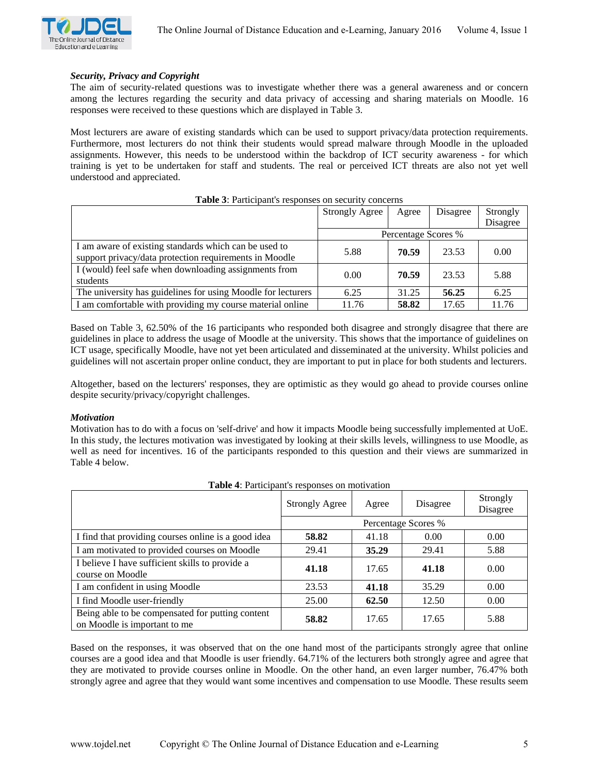

### *Security, Privacy and Copyright*

The aim of security-related questions was to investigate whether there was a general awareness and or concern among the lectures regarding the security and data privacy of accessing and sharing materials on Moodle. 16 responses were received to these questions which are displayed in Table 3.

Most lecturers are aware of existing standards which can be used to support privacy/data protection requirements. Furthermore, most lecturers do not think their students would spread malware through Moodle in the uploaded assignments. However, this needs to be understood within the backdrop of ICT security awareness - for which training is yet to be undertaken for staff and students. The real or perceived ICT threats are also not yet well understood and appreciated.

|                                                                                                                 | <b>Strongly Agree</b> | Agree               | Disagree | Strongly<br>Disagree |
|-----------------------------------------------------------------------------------------------------------------|-----------------------|---------------------|----------|----------------------|
|                                                                                                                 |                       | Percentage Scores % |          |                      |
| I am aware of existing standards which can be used to<br>support privacy/data protection requirements in Moodle | 5.88                  | 70.59               | 23.53    | 0.00                 |
| I (would) feel safe when downloading assignments from<br>students                                               | 0.00                  | 70.59               | 23.53    | 5.88                 |
| The university has guidelines for using Moodle for lecturers                                                    | 6.25                  | 31.25               | 56.25    | 6.25                 |
| I am comfortable with providing my course material online                                                       | 11.76                 | 58.82               | 17.65    | 11.76                |

**Table 3**: Participant's responses on security concerns

Based on Table 3, 62.50% of the 16 participants who responded both disagree and strongly disagree that there are guidelines in place to address the usage of Moodle at the university. This shows that the importance of guidelines on ICT usage, specifically Moodle, have not yet been articulated and disseminated at the university. Whilst policies and guidelines will not ascertain proper online conduct, they are important to put in place for both students and lecturers.

Altogether, based on the lecturers' responses, they are optimistic as they would go ahead to provide courses online despite security/privacy/copyright challenges.

#### *Motivation*

Motivation has to do with a focus on 'self-drive' and how it impacts Moodle being successfully implemented at UoE. In this study, the lectures motivation was investigated by looking at their skills levels, willingness to use Moodle, as well as need for incentives. 16 of the participants responded to this question and their views are summarized in Table 4 below.

|                                                                                  | <b>Strongly Agree</b> | Agree | Disagree | Strongly<br>Disagree |
|----------------------------------------------------------------------------------|-----------------------|-------|----------|----------------------|
|                                                                                  | Percentage Scores %   |       |          |                      |
| I find that providing courses online is a good idea                              | 58.82                 | 41.18 | 0.00     | 0.00                 |
| I am motivated to provided courses on Moodle                                     | 29.41                 | 35.29 | 29.41    | 5.88                 |
| I believe I have sufficient skills to provide a<br>course on Moodle              | 41.18                 | 17.65 | 41.18    | 0.00                 |
| I am confident in using Moodle                                                   | 23.53                 | 41.18 | 35.29    | 0.00                 |
| I find Moodle user-friendly                                                      | 25.00                 | 62.50 | 12.50    | 0.00                 |
| Being able to be compensated for putting content<br>on Moodle is important to me | 58.82                 | 17.65 | 17.65    | 5.88                 |

**Table 4**: Participant's responses on motivation

Based on the responses, it was observed that on the one hand most of the participants strongly agree that online courses are a good idea and that Moodle is user friendly. 64.71% of the lecturers both strongly agree and agree that they are motivated to provide courses online in Moodle. On the other hand, an even larger number, 76.47% both strongly agree and agree that they would want some incentives and compensation to use Moodle. These results seem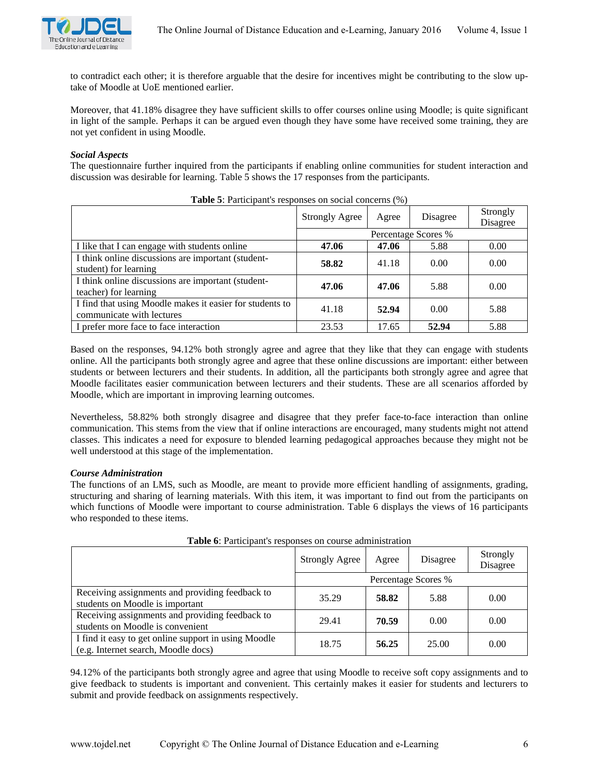

to contradict each other; it is therefore arguable that the desire for incentives might be contributing to the slow uptake of Moodle at UoE mentioned earlier.

Moreover, that 41.18% disagree they have sufficient skills to offer courses online using Moodle; is quite significant in light of the sample. Perhaps it can be argued even though they have some have received some training, they are not yet confident in using Moodle.

# *Social Aspects*

The questionnaire further inquired from the participants if enabling online communities for student interaction and discussion was desirable for learning. Table 5 shows the 17 responses from the participants.

| <b>Tuble 0.</b> I distribute a reaponded on additional concernative $(99)$            |                       |       |          |                      |
|---------------------------------------------------------------------------------------|-----------------------|-------|----------|----------------------|
|                                                                                       | <b>Strongly Agree</b> | Agree | Disagree | Strongly<br>Disagree |
|                                                                                       | Percentage Scores %   |       |          |                      |
| I like that I can engage with students online                                         | 47.06                 | 47.06 | 5.88     | 0.00                 |
| I think online discussions are important (student-<br>student) for learning           | 58.82                 | 41.18 | 0.00     | 0.00                 |
| I think online discussions are important (student-<br>teacher) for learning           | 47.06                 | 47.06 | 5.88     | 0.00                 |
| I find that using Moodle makes it easier for students to<br>communicate with lectures | 41.18                 | 52.94 | 0.00     | 5.88                 |
| I prefer more face to face interaction                                                | 23.53                 | 17.65 | 52.94    | 5.88                 |

**Table 5**: Participant's responses on social concerns (%)

Based on the responses, 94.12% both strongly agree and agree that they like that they can engage with students online. All the participants both strongly agree and agree that these online discussions are important: either between students or between lecturers and their students. In addition, all the participants both strongly agree and agree that Moodle facilitates easier communication between lecturers and their students. These are all scenarios afforded by Moodle, which are important in improving learning outcomes.

Nevertheless, 58.82% both strongly disagree and disagree that they prefer face-to-face interaction than online communication. This stems from the view that if online interactions are encouraged, many students might not attend classes. This indicates a need for exposure to blended learning pedagogical approaches because they might not be well understood at this stage of the implementation.

# *Course Administration*

The functions of an LMS, such as Moodle, are meant to provide more efficient handling of assignments, grading, structuring and sharing of learning materials. With this item, it was important to find out from the participants on which functions of Moodle were important to course administration. Table 6 displays the views of 16 participants who responded to these items.

|                                                                                             | <b>Strongly Agree</b> | Agree | Disagree            | Strongly<br>Disagree |
|---------------------------------------------------------------------------------------------|-----------------------|-------|---------------------|----------------------|
|                                                                                             |                       |       | Percentage Scores % |                      |
| Receiving assignments and providing feedback to<br>students on Moodle is important          | 35.29                 | 58.82 | 5.88                | 0.00                 |
| Receiving assignments and providing feedback to<br>students on Moodle is convenient         | 29.41                 | 70.59 | 0.00                | 0.00                 |
| I find it easy to get online support in using Moodle<br>(e.g. Internet search, Moodle docs) | 18.75                 | 56.25 | 25.00               | 0.00                 |

**Table 6**: Participant's responses on course administration

94.12% of the participants both strongly agree and agree that using Moodle to receive soft copy assignments and to give feedback to students is important and convenient. This certainly makes it easier for students and lecturers to submit and provide feedback on assignments respectively.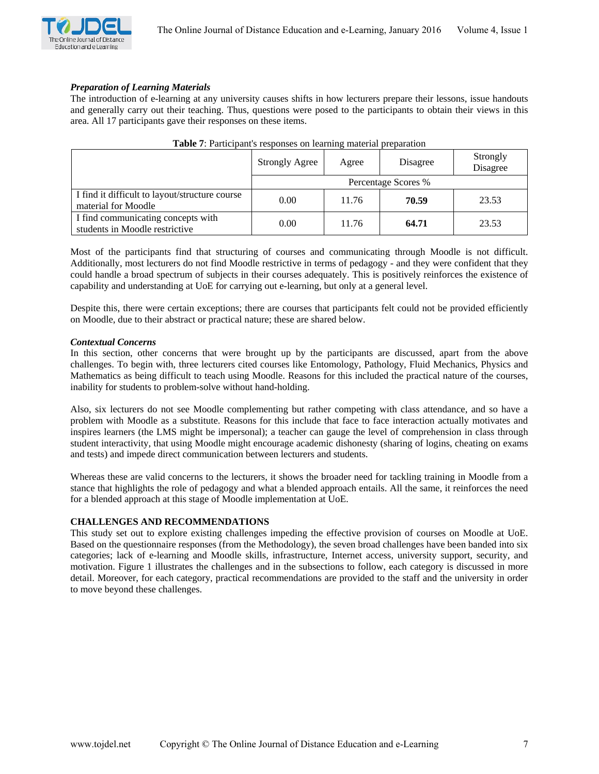### *Preparation of Learning Materials*

The introduction of e-learning at any university causes shifts in how lecturers prepare their lessons, issue handouts and generally carry out their teaching. Thus, questions were posed to the participants to obtain their views in this area. All 17 participants gave their responses on these items.

|                                                                       | <b>Strongly Agree</b> | Agree | Disagree | Strongly<br>Disagree |  |
|-----------------------------------------------------------------------|-----------------------|-------|----------|----------------------|--|
|                                                                       | Percentage Scores %   |       |          |                      |  |
| I find it difficult to layout/structure course<br>material for Moodle | 0.00                  | 11.76 | 70.59    | 23.53                |  |
| I find communicating concepts with<br>students in Moodle restrictive  | 0.00                  | 11.76 | 64.71    | 23.53                |  |

| <b>Table 7:</b> Participant's responses on learning material preparation |  |  |
|--------------------------------------------------------------------------|--|--|
|--------------------------------------------------------------------------|--|--|

Most of the participants find that structuring of courses and communicating through Moodle is not difficult. Additionally, most lecturers do not find Moodle restrictive in terms of pedagogy - and they were confident that they could handle a broad spectrum of subjects in their courses adequately. This is positively reinforces the existence of capability and understanding at UoE for carrying out e-learning, but only at a general level.

Despite this, there were certain exceptions; there are courses that participants felt could not be provided efficiently on Moodle, due to their abstract or practical nature; these are shared below.

### *Contextual Concerns*

In this section, other concerns that were brought up by the participants are discussed, apart from the above challenges. To begin with, three lecturers cited courses like Entomology, Pathology, Fluid Mechanics, Physics and Mathematics as being difficult to teach using Moodle. Reasons for this included the practical nature of the courses, inability for students to problem-solve without hand-holding.

Also, six lecturers do not see Moodle complementing but rather competing with class attendance, and so have a problem with Moodle as a substitute. Reasons for this include that face to face interaction actually motivates and inspires learners (the LMS might be impersonal); a teacher can gauge the level of comprehension in class through student interactivity, that using Moodle might encourage academic dishonesty (sharing of logins, cheating on exams and tests) and impede direct communication between lecturers and students.

Whereas these are valid concerns to the lecturers, it shows the broader need for tackling training in Moodle from a stance that highlights the role of pedagogy and what a blended approach entails. All the same, it reinforces the need for a blended approach at this stage of Moodle implementation at UoE.

# **CHALLENGES AND RECOMMENDATIONS**

This study set out to explore existing challenges impeding the effective provision of courses on Moodle at UoE. Based on the questionnaire responses (from the Methodology), the seven broad challenges have been banded into six categories; lack of e-learning and Moodle skills, infrastructure, Internet access, university support, security, and motivation. Figure 1 illustrates the challenges and in the subsections to follow, each category is discussed in more detail. Moreover, for each category, practical recommendations are provided to the staff and the university in order to move beyond these challenges.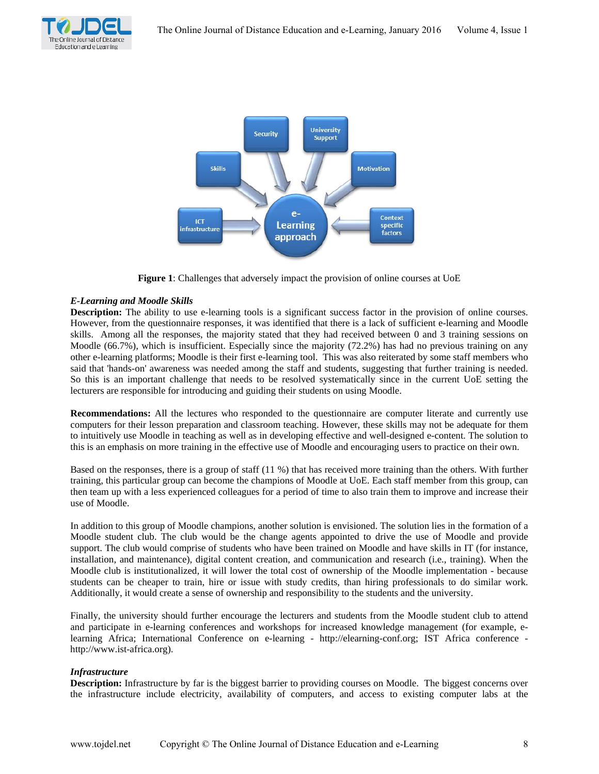



**Figure 1**: Challenges that adversely impact the provision of online courses at UoE

# *E-Learning and Moodle Skills*

**Description:** The ability to use e-learning tools is a significant success factor in the provision of online courses. However, from the questionnaire responses, it was identified that there is a lack of sufficient e-learning and Moodle skills. Among all the responses, the majority stated that they had received between 0 and 3 training sessions on Moodle (66.7%), which is insufficient. Especially since the majority (72.2%) has had no previous training on any other e-learning platforms; Moodle is their first e-learning tool. This was also reiterated by some staff members who said that 'hands-on' awareness was needed among the staff and students, suggesting that further training is needed. So this is an important challenge that needs to be resolved systematically since in the current UoE setting the lecturers are responsible for introducing and guiding their students on using Moodle.

**Recommendations:** All the lectures who responded to the questionnaire are computer literate and currently use computers for their lesson preparation and classroom teaching. However, these skills may not be adequate for them to intuitively use Moodle in teaching as well as in developing effective and well-designed e-content. The solution to this is an emphasis on more training in the effective use of Moodle and encouraging users to practice on their own.

Based on the responses, there is a group of staff (11 %) that has received more training than the others. With further training, this particular group can become the champions of Moodle at UoE. Each staff member from this group, can then team up with a less experienced colleagues for a period of time to also train them to improve and increase their use of Moodle.

In addition to this group of Moodle champions, another solution is envisioned. The solution lies in the formation of a Moodle student club. The club would be the change agents appointed to drive the use of Moodle and provide support. The club would comprise of students who have been trained on Moodle and have skills in IT (for instance, installation, and maintenance), digital content creation, and communication and research (i.e., training). When the Moodle club is institutionalized, it will lower the total cost of ownership of the Moodle implementation - because students can be cheaper to train, hire or issue with study credits, than hiring professionals to do similar work. Additionally, it would create a sense of ownership and responsibility to the students and the university.

Finally, the university should further encourage the lecturers and students from the Moodle student club to attend and participate in e-learning conferences and workshops for increased knowledge management (for example, elearning Africa; International Conference on e-learning - http://elearning-conf.org; IST Africa conference http://www.ist-africa.org).

# *Infrastructure*

**Description:** Infrastructure by far is the biggest barrier to providing courses on Moodle. The biggest concerns over the infrastructure include electricity, availability of computers, and access to existing computer labs at the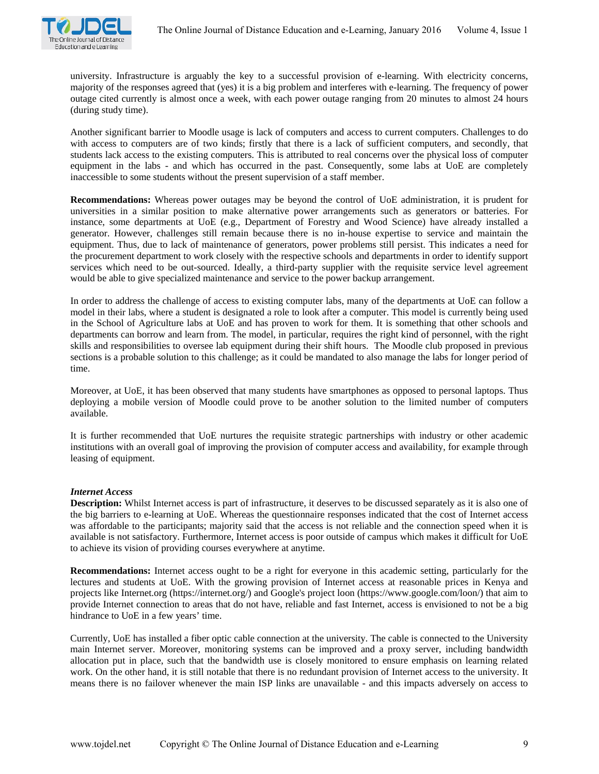university. Infrastructure is arguably the key to a successful provision of e-learning. With electricity concerns, majority of the responses agreed that (yes) it is a big problem and interferes with e-learning. The frequency of power outage cited currently is almost once a week, with each power outage ranging from 20 minutes to almost 24 hours (during study time).

Another significant barrier to Moodle usage is lack of computers and access to current computers. Challenges to do with access to computers are of two kinds; firstly that there is a lack of sufficient computers, and secondly, that students lack access to the existing computers. This is attributed to real concerns over the physical loss of computer equipment in the labs - and which has occurred in the past. Consequently, some labs at UoE are completely inaccessible to some students without the present supervision of a staff member.

**Recommendations:** Whereas power outages may be beyond the control of UoE administration, it is prudent for universities in a similar position to make alternative power arrangements such as generators or batteries. For instance, some departments at UoE (e.g., Department of Forestry and Wood Science) have already installed a generator. However, challenges still remain because there is no in-house expertise to service and maintain the equipment. Thus, due to lack of maintenance of generators, power problems still persist. This indicates a need for the procurement department to work closely with the respective schools and departments in order to identify support services which need to be out-sourced. Ideally, a third-party supplier with the requisite service level agreement would be able to give specialized maintenance and service to the power backup arrangement.

In order to address the challenge of access to existing computer labs, many of the departments at UoE can follow a model in their labs, where a student is designated a role to look after a computer. This model is currently being used in the School of Agriculture labs at UoE and has proven to work for them. It is something that other schools and departments can borrow and learn from. The model, in particular, requires the right kind of personnel, with the right skills and responsibilities to oversee lab equipment during their shift hours. The Moodle club proposed in previous sections is a probable solution to this challenge; as it could be mandated to also manage the labs for longer period of time.

Moreover, at UoE, it has been observed that many students have smartphones as opposed to personal laptops. Thus deploying a mobile version of Moodle could prove to be another solution to the limited number of computers available.

It is further recommended that UoE nurtures the requisite strategic partnerships with industry or other academic institutions with an overall goal of improving the provision of computer access and availability, for example through leasing of equipment.

# *Internet Access*

**Description:** Whilst Internet access is part of infrastructure, it deserves to be discussed separately as it is also one of the big barriers to e-learning at UoE. Whereas the questionnaire responses indicated that the cost of Internet access was affordable to the participants; majority said that the access is not reliable and the connection speed when it is available is not satisfactory. Furthermore, Internet access is poor outside of campus which makes it difficult for UoE to achieve its vision of providing courses everywhere at anytime.

**Recommendations:** Internet access ought to be a right for everyone in this academic setting, particularly for the lectures and students at UoE. With the growing provision of Internet access at reasonable prices in Kenya and projects like Internet.org (https://internet.org/) and Google's project loon (https://www.google.com/loon/) that aim to provide Internet connection to areas that do not have, reliable and fast Internet, access is envisioned to not be a big hindrance to UoE in a few years' time.

Currently, UoE has installed a fiber optic cable connection at the university. The cable is connected to the University main Internet server. Moreover, monitoring systems can be improved and a proxy server, including bandwidth allocation put in place, such that the bandwidth use is closely monitored to ensure emphasis on learning related work. On the other hand, it is still notable that there is no redundant provision of Internet access to the university. It means there is no failover whenever the main ISP links are unavailable - and this impacts adversely on access to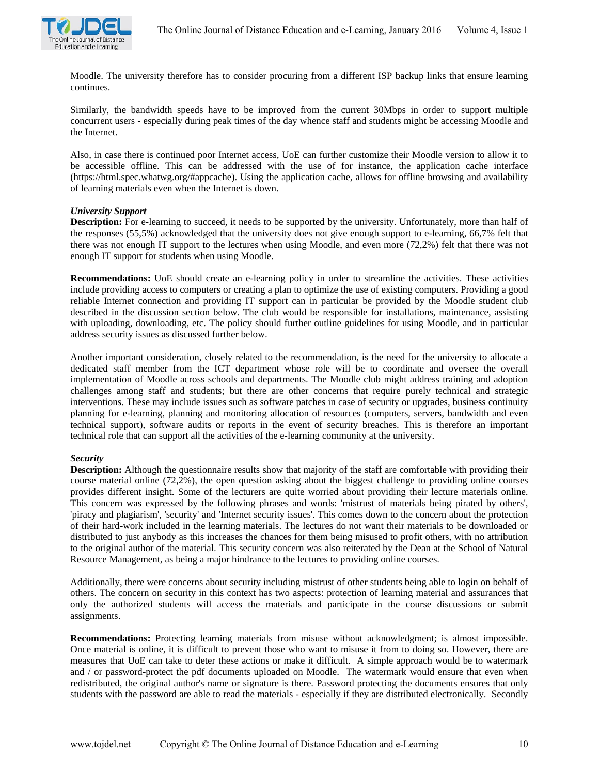

Moodle. The university therefore has to consider procuring from a different ISP backup links that ensure learning continues.

Similarly, the bandwidth speeds have to be improved from the current 30Mbps in order to support multiple concurrent users - especially during peak times of the day whence staff and students might be accessing Moodle and the Internet.

Also, in case there is continued poor Internet access, UoE can further customize their Moodle version to allow it to be accessible offline. This can be addressed with the use of for instance, the application cache interface (https://html.spec.whatwg.org/#appcache). Using the application cache, allows for offline browsing and availability of learning materials even when the Internet is down.

### *University Support*

**Description:** For e-learning to succeed, it needs to be supported by the university. Unfortunately, more than half of the responses (55,5%) acknowledged that the university does not give enough support to e-learning, 66,7% felt that there was not enough IT support to the lectures when using Moodle, and even more (72,2%) felt that there was not enough IT support for students when using Moodle.

**Recommendations:** UoE should create an e-learning policy in order to streamline the activities. These activities include providing access to computers or creating a plan to optimize the use of existing computers. Providing a good reliable Internet connection and providing IT support can in particular be provided by the Moodle student club described in the discussion section below. The club would be responsible for installations, maintenance, assisting with uploading, downloading, etc. The policy should further outline guidelines for using Moodle, and in particular address security issues as discussed further below.

Another important consideration, closely related to the recommendation, is the need for the university to allocate a dedicated staff member from the ICT department whose role will be to coordinate and oversee the overall implementation of Moodle across schools and departments. The Moodle club might address training and adoption challenges among staff and students; but there are other concerns that require purely technical and strategic interventions. These may include issues such as software patches in case of security or upgrades, business continuity planning for e-learning, planning and monitoring allocation of resources (computers, servers, bandwidth and even technical support), software audits or reports in the event of security breaches. This is therefore an important technical role that can support all the activities of the e-learning community at the university.

#### *Security*

**Description:** Although the questionnaire results show that majority of the staff are comfortable with providing their course material online (72,2%), the open question asking about the biggest challenge to providing online courses provides different insight. Some of the lecturers are quite worried about providing their lecture materials online. This concern was expressed by the following phrases and words: 'mistrust of materials being pirated by others', 'piracy and plagiarism', 'security' and 'Internet security issues'. This comes down to the concern about the protection of their hard-work included in the learning materials. The lectures do not want their materials to be downloaded or distributed to just anybody as this increases the chances for them being misused to profit others, with no attribution to the original author of the material. This security concern was also reiterated by the Dean at the School of Natural Resource Management, as being a major hindrance to the lectures to providing online courses.

Additionally, there were concerns about security including mistrust of other students being able to login on behalf of others. The concern on security in this context has two aspects: protection of learning material and assurances that only the authorized students will access the materials and participate in the course discussions or submit assignments.

**Recommendations:** Protecting learning materials from misuse without acknowledgment; is almost impossible. Once material is online, it is difficult to prevent those who want to misuse it from to doing so. However, there are measures that UoE can take to deter these actions or make it difficult. A simple approach would be to watermark and / or password-protect the pdf documents uploaded on Moodle. The watermark would ensure that even when redistributed, the original author's name or signature is there. Password protecting the documents ensures that only students with the password are able to read the materials - especially if they are distributed electronically. Secondly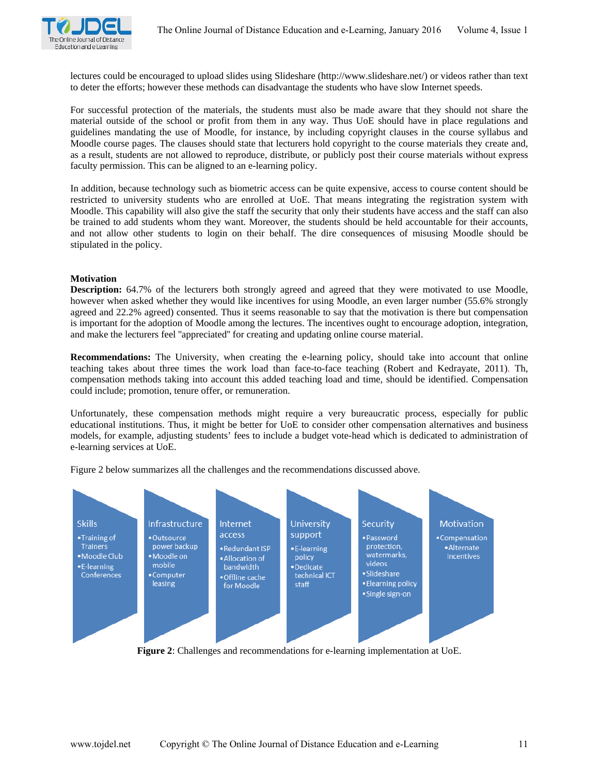

lectures could be encouraged to upload slides using Slideshare (http://www.slideshare.net/) or videos rather than text to deter the efforts; however these methods can disadvantage the students who have slow Internet speeds.

For successful protection of the materials, the students must also be made aware that they should not share the material outside of the school or profit from them in any way. Thus UoE should have in place regulations and guidelines mandating the use of Moodle, for instance, by including copyright clauses in the course syllabus and Moodle course pages. The clauses should state that lecturers hold copyright to the course materials they create and, as a result, students are not allowed to reproduce, distribute, or publicly post their course materials without express faculty permission. This can be aligned to an e-learning policy.

In addition, because technology such as biometric access can be quite expensive, access to course content should be restricted to university students who are enrolled at UoE. That means integrating the registration system with Moodle. This capability will also give the staff the security that only their students have access and the staff can also be trained to add students whom they want. Moreover, the students should be held accountable for their accounts, and not allow other students to login on their behalf. The dire consequences of misusing Moodle should be stipulated in the policy.

### **Motivation**

**Description:** 64.7% of the lecturers both strongly agreed and agreed that they were motivated to use Moodle, however when asked whether they would like incentives for using Moodle, an even larger number (55.6% strongly agreed and 22.2% agreed) consented. Thus it seems reasonable to say that the motivation is there but compensation is important for the adoption of Moodle among the lectures. The incentives ought to encourage adoption, integration, and make the lecturers feel ''appreciated'' for creating and updating online course material.

**Recommendations:** The University, when creating the e-learning policy, should take into account that online teaching takes about three times the work load than face-to-face teaching (Robert and Kedrayate, 2011). Th, compensation methods taking into account this added teaching load and time, should be identified. Compensation could include; promotion, tenure offer, or remuneration.

Unfortunately, these compensation methods might require a very bureaucratic process, especially for public educational institutions. Thus, it might be better for UoE to consider other compensation alternatives and business models, for example, adjusting students' fees to include a budget vote-head which is dedicated to administration of e-learning services at UoE.

Figure 2 below summarizes all the challenges and the recommendations discussed above.



**Figure 2**: Challenges and recommendations for e-learning implementation at UoE.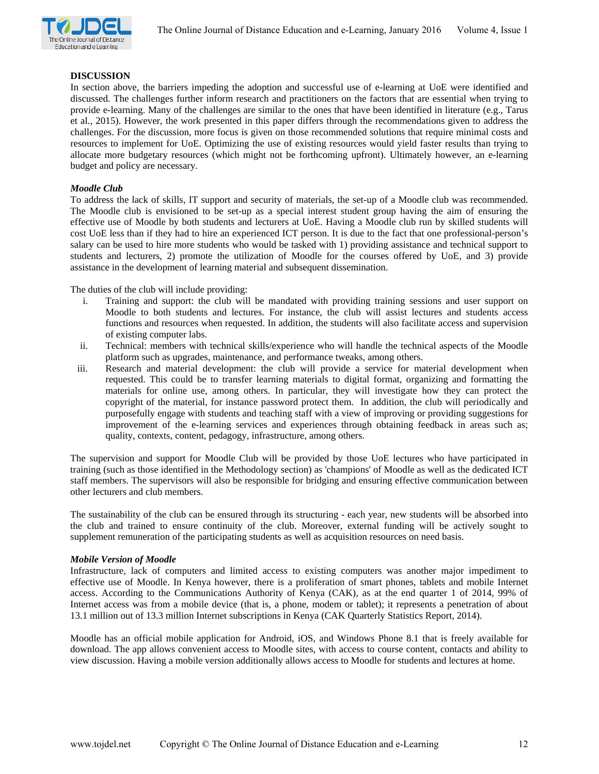

#### **DISCUSSION**

In section above, the barriers impeding the adoption and successful use of e-learning at UoE were identified and discussed. The challenges further inform research and practitioners on the factors that are essential when trying to provide e-learning. Many of the challenges are similar to the ones that have been identified in literature (e.g., Tarus et al., 2015). However, the work presented in this paper differs through the recommendations given to address the challenges. For the discussion, more focus is given on those recommended solutions that require minimal costs and resources to implement for UoE. Optimizing the use of existing resources would yield faster results than trying to allocate more budgetary resources (which might not be forthcoming upfront). Ultimately however, an e-learning budget and policy are necessary.

#### *Moodle Club*

To address the lack of skills, IT support and security of materials, the set-up of a Moodle club was recommended. The Moodle club is envisioned to be set-up as a special interest student group having the aim of ensuring the effective use of Moodle by both students and lecturers at UoE. Having a Moodle club run by skilled students will cost UoE less than if they had to hire an experienced ICT person. It is due to the fact that one professional-person's salary can be used to hire more students who would be tasked with 1) providing assistance and technical support to students and lecturers, 2) promote the utilization of Moodle for the courses offered by UoE, and 3) provide assistance in the development of learning material and subsequent dissemination.

The duties of the club will include providing:

- i. Training and support: the club will be mandated with providing training sessions and user support on Moodle to both students and lectures. For instance, the club will assist lectures and students access functions and resources when requested. In addition, the students will also facilitate access and supervision of existing computer labs.
- ii. Technical: members with technical skills/experience who will handle the technical aspects of the Moodle platform such as upgrades, maintenance, and performance tweaks, among others.
- iii. Research and material development: the club will provide a service for material development when requested. This could be to transfer learning materials to digital format, organizing and formatting the materials for online use, among others. In particular, they will investigate how they can protect the copyright of the material, for instance password protect them. In addition, the club will periodically and purposefully engage with students and teaching staff with a view of improving or providing suggestions for improvement of the e-learning services and experiences through obtaining feedback in areas such as; quality, contexts, content, pedagogy, infrastructure, among others.

The supervision and support for Moodle Club will be provided by those UoE lectures who have participated in training (such as those identified in the Methodology section) as 'champions' of Moodle as well as the dedicated ICT staff members. The supervisors will also be responsible for bridging and ensuring effective communication between other lecturers and club members.

The sustainability of the club can be ensured through its structuring - each year, new students will be absorbed into the club and trained to ensure continuity of the club. Moreover, external funding will be actively sought to supplement remuneration of the participating students as well as acquisition resources on need basis.

#### *Mobile Version of Moodle*

Infrastructure, lack of computers and limited access to existing computers was another major impediment to effective use of Moodle. In Kenya however, there is a proliferation of smart phones, tablets and mobile Internet access. According to the Communications Authority of Kenya (CAK), as at the end quarter 1 of 2014, 99% of Internet access was from a mobile device (that is, a phone, modem or tablet); it represents a penetration of about 13.1 million out of 13.3 million Internet subscriptions in Kenya (CAK Quarterly Statistics Report, 2014).

Moodle has an official mobile application for Android, iOS, and Windows Phone 8.1 that is freely available for download. The app allows convenient access to Moodle sites, with access to course content, contacts and ability to view discussion. Having a mobile version additionally allows access to Moodle for students and lectures at home.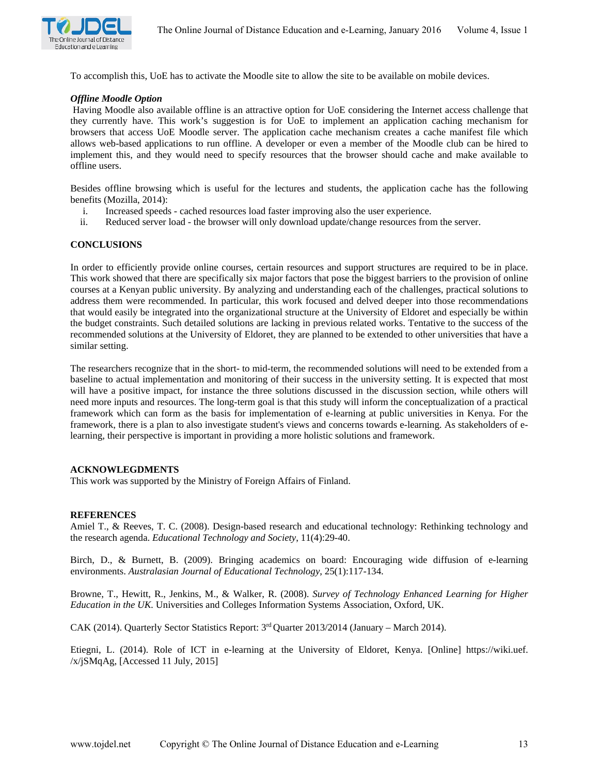

To accomplish this, UoE has to activate the Moodle site to allow the site to be available on mobile devices.

#### *Offline Moodle Option*

Having Moodle also available offline is an attractive option for UoE considering the Internet access challenge that they currently have. This work's suggestion is for UoE to implement an application caching mechanism for browsers that access UoE Moodle server. The application cache mechanism creates a cache manifest file which allows web-based applications to run offline. A developer or even a member of the Moodle club can be hired to implement this, and they would need to specify resources that the browser should cache and make available to offline users.

Besides offline browsing which is useful for the lectures and students, the application cache has the following benefits (Mozilla, 2014):

- i. Increased speeds cached resources load faster improving also the user experience.
- ii. Reduced server load the browser will only download update/change resources from the server.

#### **CONCLUSIONS**

In order to efficiently provide online courses, certain resources and support structures are required to be in place. This work showed that there are specifically six major factors that pose the biggest barriers to the provision of online courses at a Kenyan public university. By analyzing and understanding each of the challenges, practical solutions to address them were recommended. In particular, this work focused and delved deeper into those recommendations that would easily be integrated into the organizational structure at the University of Eldoret and especially be within the budget constraints. Such detailed solutions are lacking in previous related works. Tentative to the success of the recommended solutions at the University of Eldoret, they are planned to be extended to other universities that have a similar setting.

The researchers recognize that in the short- to mid-term, the recommended solutions will need to be extended from a baseline to actual implementation and monitoring of their success in the university setting. It is expected that most will have a positive impact, for instance the three solutions discussed in the discussion section, while others will need more inputs and resources. The long-term goal is that this study will inform the conceptualization of a practical framework which can form as the basis for implementation of e-learning at public universities in Kenya. For the framework, there is a plan to also investigate student's views and concerns towards e-learning. As stakeholders of elearning, their perspective is important in providing a more holistic solutions and framework.

#### **ACKNOWLEGDMENTS**

This work was supported by the Ministry of Foreign Affairs of Finland.

#### **REFERENCES**

Amiel T., & Reeves, T. C. (2008). Design-based research and educational technology: Rethinking technology and the research agenda. *Educational Technology and Society*, 11(4):29-40.

Birch, D., & Burnett, B. (2009). Bringing academics on board: Encouraging wide diffusion of e-learning environments. *Australasian Journal of Educational Technology*, 25(1):117-134.

Browne, T., Hewitt, R., Jenkins, M., & Walker, R. (2008). *Survey of Technology Enhanced Learning for Higher Education in the UK.* Universities and Colleges Information Systems Association, Oxford, UK.

CAK (2014). Quarterly Sector Statistics Report: 3rd Quarter 2013/2014 (January – March 2014).

Etiegni, L. (2014). Role of ICT in e-learning at the University of Eldoret, Kenya. [Online] https://wiki.uef. /x/jSMqAg, [Accessed 11 July, 2015]